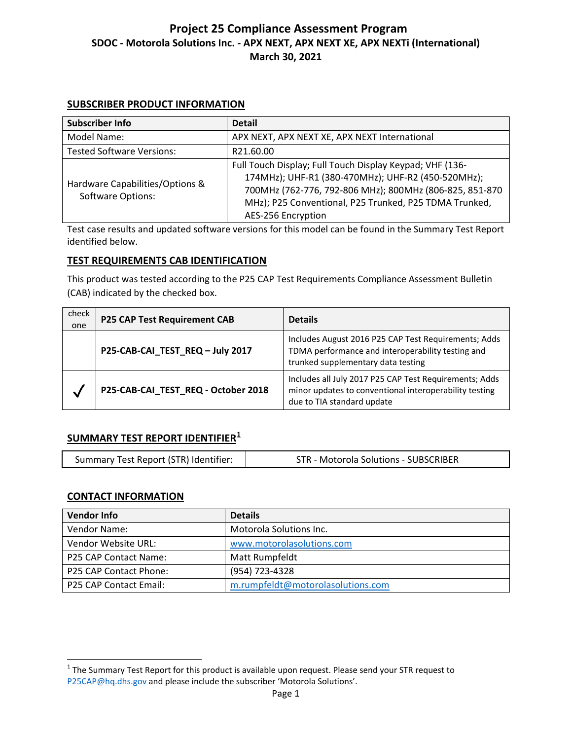### **SUBSCRIBER PRODUCT INFORMATION**

| Subscriber Info                                             | <b>Detail</b>                                                                                                                                                                                                                                                    |
|-------------------------------------------------------------|------------------------------------------------------------------------------------------------------------------------------------------------------------------------------------------------------------------------------------------------------------------|
| Model Name:                                                 | APX NEXT, APX NEXT XE, APX NEXT International                                                                                                                                                                                                                    |
| <b>Tested Software Versions:</b>                            | R21.60.00                                                                                                                                                                                                                                                        |
| Hardware Capabilities/Options &<br><b>Software Options:</b> | Full Touch Display; Full Touch Display Keypad; VHF (136-<br>174MHz); UHF-R1 (380-470MHz); UHF-R2 (450-520MHz);<br>700MHz (762-776, 792-806 MHz); 800MHz (806-825, 851-870<br>MHz); P25 Conventional, P25 Trunked, P25 TDMA Trunked,<br><b>AES-256 Encryption</b> |

Test case results and updated software versions for this model can be found in the Summary Test Report identified below.

# **TEST REQUIREMENTS CAB IDENTIFICATION**

This product was tested according to the P25 CAP Test Requirements Compliance Assessment Bulletin (CAB) indicated by the checked box.

| check<br>one | <b>P25 CAP Test Requirement CAB</b> | <b>Details</b>                                                                                                                                  |
|--------------|-------------------------------------|-------------------------------------------------------------------------------------------------------------------------------------------------|
|              | P25-CAB-CAI_TEST_REQ - July 2017    | Includes August 2016 P25 CAP Test Requirements; Adds<br>TDMA performance and interoperability testing and<br>trunked supplementary data testing |
|              | P25-CAB-CAI_TEST_REQ - October 2018 | Includes all July 2017 P25 CAP Test Requirements; Adds<br>minor updates to conventional interoperability testing<br>due to TIA standard update  |

## **SUMMARY TEST REPORT IDENTIFIER[1](#page-0-0)**

| Summary Test Report (STR) Identifier:<br>STR - Motorola Solutions - SUBSCRIBER |
|--------------------------------------------------------------------------------|
|--------------------------------------------------------------------------------|

## **CONTACT INFORMATION**

 $\overline{a}$ 

| <b>Vendor Info</b>           | <b>Details</b>                    |
|------------------------------|-----------------------------------|
| Vendor Name:                 | Motorola Solutions Inc.           |
| Vendor Website URL:          | www.motorolasolutions.com         |
| <b>P25 CAP Contact Name:</b> | Matt Rumpfeldt                    |
| P25 CAP Contact Phone:       | (954) 723-4328                    |
| P25 CAP Contact Email:       | m.rumpfeldt@motorolasolutions.com |

<span id="page-0-0"></span> $1$  The Summary Test Report for this product is available upon request. Please send your STR request to [P25CAP@hq.dhs.gov](mailto:P25CAP@hq.dhs.gov) and please include the subscriber 'Motorola Solutions'.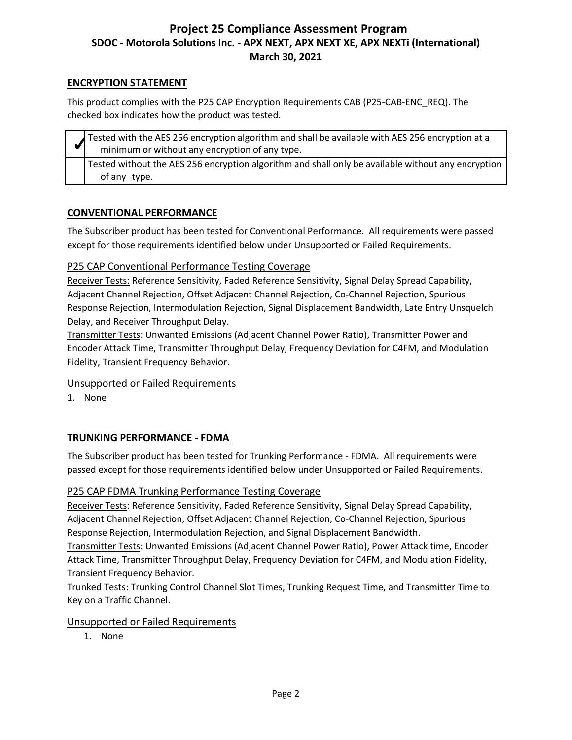### **ENCRYPTION STATEMENT**

This product complies with the P25 CAP Encryption Requirements CAB (P25-CAB-ENC\_REQ). The checked box indicates how the product was tested.

| Tested with the AES 256 encryption algorithm and shall be available with AES 256 encryption at a<br>minimum or without any encryption of any type. |
|----------------------------------------------------------------------------------------------------------------------------------------------------|
| Tested without the AES 256 encryption algorithm and shall only be available without any encryption<br>of any type.                                 |

## **CONVENTIONAL PERFORMANCE**

The Subscriber product has been tested for Conventional Performance. All requirements were passed except for those requirements identified below under Unsupported or Failed Requirements.

# P25 CAP Conventional Performance Testing Coverage

Receiver Tests: Reference Sensitivity, Faded Reference Sensitivity, Signal Delay Spread Capability, Adjacent Channel Rejection, Offset Adjacent Channel Rejection, Co-Channel Rejection, Spurious Response Rejection, Intermodulation Rejection, Signal Displacement Bandwidth, Late Entry Unsquelch Delay, and Receiver Throughput Delay.

Transmitter Tests: Unwanted Emissions (Adjacent Channel Power Ratio), Transmitter Power and Encoder Attack Time, Transmitter Throughput Delay, Frequency Deviation for C4FM, and Modulation Fidelity, Transient Frequency Behavior.

## Unsupported or Failed Requirements

1. None

# **TRUNKING PERFORMANCE - FDMA**

The Subscriber product has been tested for Trunking Performance - FDMA. All requirements were passed except for those requirements identified below under Unsupported or Failed Requirements.

## P25 CAP FDMA Trunking Performance Testing Coverage

Receiver Tests: Reference Sensitivity, Faded Reference Sensitivity, Signal Delay Spread Capability, Adjacent Channel Rejection, Offset Adjacent Channel Rejection, Co-Channel Rejection, Spurious Response Rejection, Intermodulation Rejection, and Signal Displacement Bandwidth.

Transmitter Tests: Unwanted Emissions (Adjacent Channel Power Ratio), Power Attack time, Encoder Attack Time, Transmitter Throughput Delay, Frequency Deviation for C4FM, and Modulation Fidelity, Transient Frequency Behavior.

Trunked Tests: Trunking Control Channel Slot Times, Trunking Request Time, and Transmitter Time to Key on a Traffic Channel.

## Unsupported or Failed Requirements

1. None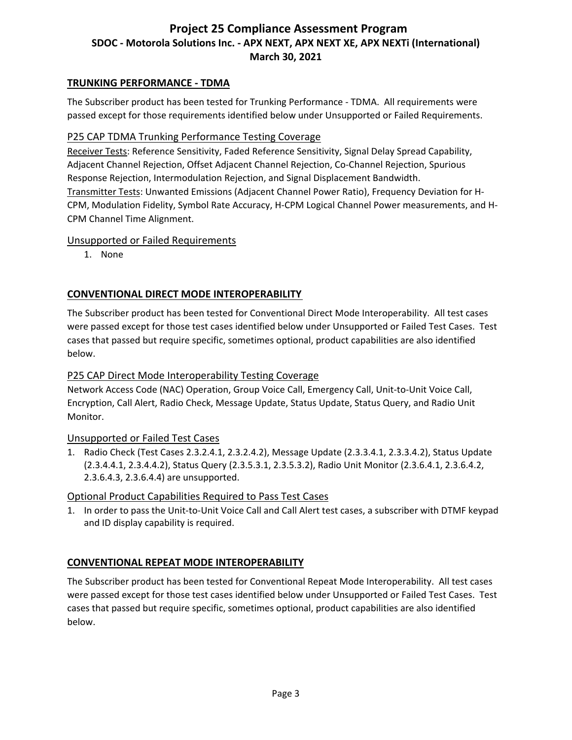### **TRUNKING PERFORMANCE - TDMA**

The Subscriber product has been tested for Trunking Performance - TDMA. All requirements were passed except for those requirements identified below under Unsupported or Failed Requirements.

#### P25 CAP TDMA Trunking Performance Testing Coverage

Receiver Tests: Reference Sensitivity, Faded Reference Sensitivity, Signal Delay Spread Capability, Adjacent Channel Rejection, Offset Adjacent Channel Rejection, Co-Channel Rejection, Spurious Response Rejection, Intermodulation Rejection, and Signal Displacement Bandwidth. Transmitter Tests: Unwanted Emissions (Adjacent Channel Power Ratio), Frequency Deviation for H-CPM, Modulation Fidelity, Symbol Rate Accuracy, H-CPM Logical Channel Power measurements, and H-CPM Channel Time Alignment.

#### Unsupported or Failed Requirements

1. None

## **CONVENTIONAL DIRECT MODE INTEROPERABILITY**

The Subscriber product has been tested for Conventional Direct Mode Interoperability. All test cases were passed except for those test cases identified below under Unsupported or Failed Test Cases. Test cases that passed but require specific, sometimes optional, product capabilities are also identified below.

### P25 CAP Direct Mode Interoperability Testing Coverage

Network Access Code (NAC) Operation, Group Voice Call, Emergency Call, Unit-to-Unit Voice Call, Encryption, Call Alert, Radio Check, Message Update, Status Update, Status Query, and Radio Unit Monitor.

#### Unsupported or Failed Test Cases

1. Radio Check (Test Cases 2.3.2.4.1, 2.3.2.4.2), Message Update (2.3.3.4.1, 2.3.3.4.2), Status Update (2.3.4.4.1, 2.3.4.4.2), Status Query (2.3.5.3.1, 2.3.5.3.2), Radio Unit Monitor (2.3.6.4.1, 2.3.6.4.2, 2.3.6.4.3, 2.3.6.4.4) are unsupported.

#### Optional Product Capabilities Required to Pass Test Cases

1. In order to pass the Unit-to-Unit Voice Call and Call Alert test cases, a subscriber with DTMF keypad and ID display capability is required.

## **CONVENTIONAL REPEAT MODE INTEROPERABILITY**

The Subscriber product has been tested for Conventional Repeat Mode Interoperability. All test cases were passed except for those test cases identified below under Unsupported or Failed Test Cases. Test cases that passed but require specific, sometimes optional, product capabilities are also identified below.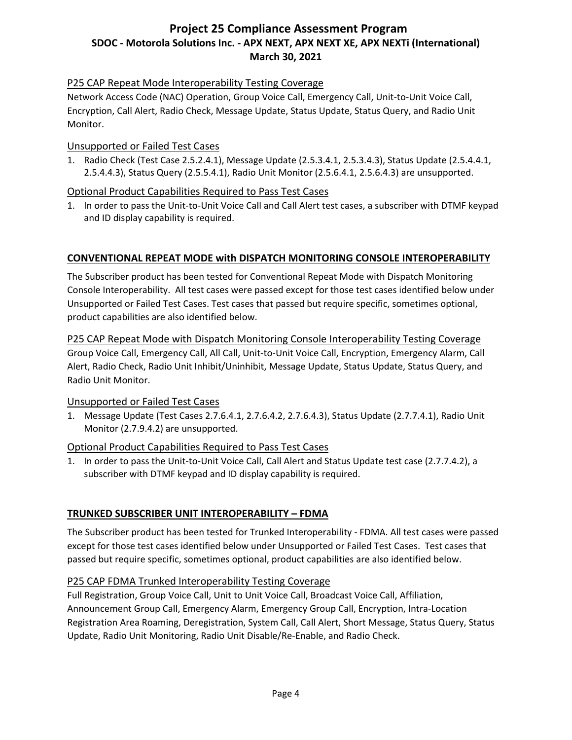# P25 CAP Repeat Mode Interoperability Testing Coverage

Network Access Code (NAC) Operation, Group Voice Call, Emergency Call, Unit-to-Unit Voice Call, Encryption, Call Alert, Radio Check, Message Update, Status Update, Status Query, and Radio Unit Monitor.

# Unsupported or Failed Test Cases

1. Radio Check (Test Case 2.5.2.4.1), Message Update (2.5.3.4.1, 2.5.3.4.3), Status Update (2.5.4.4.1, 2.5.4.4.3), Status Query (2.5.5.4.1), Radio Unit Monitor (2.5.6.4.1, 2.5.6.4.3) are unsupported.

# Optional Product Capabilities Required to Pass Test Cases

1. In order to pass the Unit-to-Unit Voice Call and Call Alert test cases, a subscriber with DTMF keypad and ID display capability is required.

# **CONVENTIONAL REPEAT MODE with DISPATCH MONITORING CONSOLE INTEROPERABILITY**

The Subscriber product has been tested for Conventional Repeat Mode with Dispatch Monitoring Console Interoperability. All test cases were passed except for those test cases identified below under Unsupported or Failed Test Cases. Test cases that passed but require specific, sometimes optional, product capabilities are also identified below.

P25 CAP Repeat Mode with Dispatch Monitoring Console Interoperability Testing Coverage Group Voice Call, Emergency Call, All Call, Unit-to-Unit Voice Call, Encryption, Emergency Alarm, Call Alert, Radio Check, Radio Unit Inhibit/Uninhibit, Message Update, Status Update, Status Query, and Radio Unit Monitor.

## Unsupported or Failed Test Cases

1. Message Update (Test Cases 2.7.6.4.1, 2.7.6.4.2, 2.7.6.4.3), Status Update (2.7.7.4.1), Radio Unit Monitor (2.7.9.4.2) are unsupported.

# Optional Product Capabilities Required to Pass Test Cases

1. In order to pass the Unit-to-Unit Voice Call, Call Alert and Status Update test case (2.7.7.4.2), a subscriber with DTMF keypad and ID display capability is required.

# **TRUNKED SUBSCRIBER UNIT INTEROPERABILITY – FDMA**

The Subscriber product has been tested for Trunked Interoperability - FDMA. All test cases were passed except for those test cases identified below under Unsupported or Failed Test Cases. Test cases that passed but require specific, sometimes optional, product capabilities are also identified below.

# P25 CAP FDMA Trunked Interoperability Testing Coverage

Full Registration, Group Voice Call, Unit to Unit Voice Call, Broadcast Voice Call, Affiliation, Announcement Group Call, Emergency Alarm, Emergency Group Call, Encryption, Intra-Location Registration Area Roaming, Deregistration, System Call, Call Alert, Short Message, Status Query, Status Update, Radio Unit Monitoring, Radio Unit Disable/Re-Enable, and Radio Check.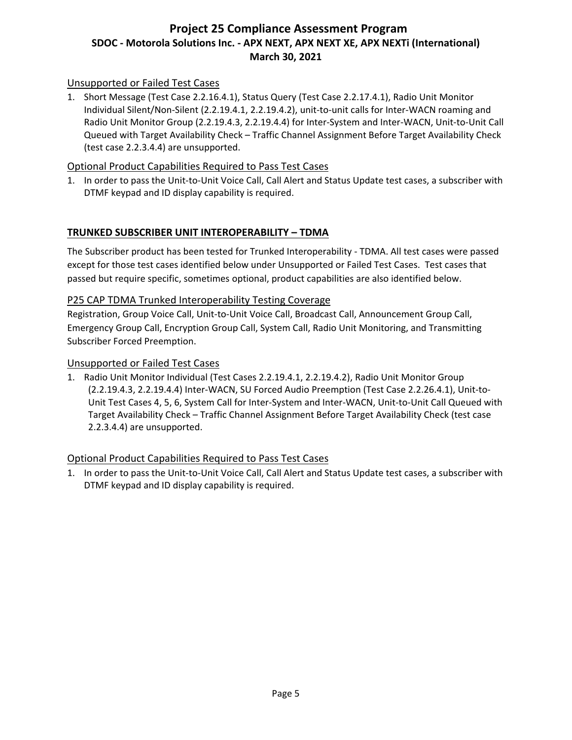# Unsupported or Failed Test Cases

1. Short Message (Test Case 2.2.16.4.1), Status Query (Test Case 2.2.17.4.1), Radio Unit Monitor Individual Silent/Non-Silent (2.2.19.4.1, 2.2.19.4.2), unit-to-unit calls for Inter-WACN roaming and Radio Unit Monitor Group (2.2.19.4.3, 2.2.19.4.4) for Inter-System and Inter-WACN, Unit-to-Unit Call Queued with Target Availability Check – Traffic Channel Assignment Before Target Availability Check (test case 2.2.3.4.4) are unsupported.

# Optional Product Capabilities Required to Pass Test Cases

1. In order to pass the Unit-to-Unit Voice Call, Call Alert and Status Update test cases, a subscriber with DTMF keypad and ID display capability is required.

# **TRUNKED SUBSCRIBER UNIT INTEROPERABILITY – TDMA**

The Subscriber product has been tested for Trunked Interoperability - TDMA. All test cases were passed except for those test cases identified below under Unsupported or Failed Test Cases. Test cases that passed but require specific, sometimes optional, product capabilities are also identified below.

# P25 CAP TDMA Trunked Interoperability Testing Coverage

Registration, Group Voice Call, Unit-to-Unit Voice Call, Broadcast Call, Announcement Group Call, Emergency Group Call, Encryption Group Call, System Call, Radio Unit Monitoring, and Transmitting Subscriber Forced Preemption.

## Unsupported or Failed Test Cases

1. Radio Unit Monitor Individual (Test Cases 2.2.19.4.1, 2.2.19.4.2), Radio Unit Monitor Group (2.2.19.4.3, 2.2.19.4.4) Inter-WACN, SU Forced Audio Preemption (Test Case 2.2.26.4.1), Unit-to-Unit Test Cases 4, 5, 6, System Call for Inter-System and Inter-WACN, Unit-to-Unit Call Queued with Target Availability Check – Traffic Channel Assignment Before Target Availability Check (test case 2.2.3.4.4) are unsupported.

## Optional Product Capabilities Required to Pass Test Cases

1. In order to pass the Unit-to-Unit Voice Call, Call Alert and Status Update test cases, a subscriber with DTMF keypad and ID display capability is required.